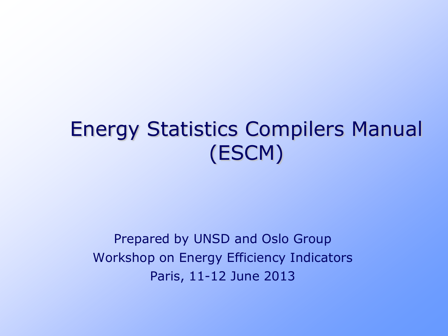#### Energy Statistics Compilers Manual (ESCM)

Prepared by UNSD and Oslo Group Workshop on Energy Efficiency Indicators Paris, 11-12 June 2013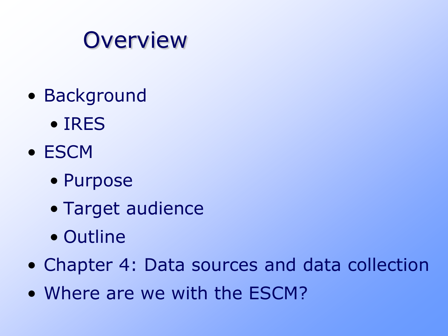#### **Overview**

- Background
	- IRES
- ESCM
	- Purpose
	- Target audience
	- Outline
- Chapter 4: Data sources and data collection
- Where are we with the ESCM?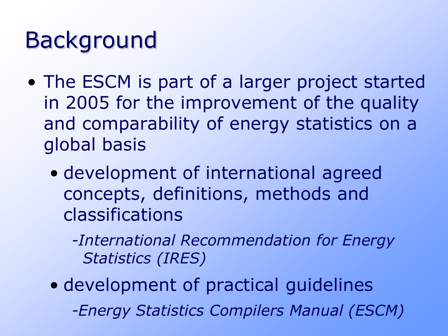## Background

- The ESCM is part of a larger project started in 2005 for the improvement of the quality and comparability of energy statistics on a global basis
	- development of international agreed concepts, definitions, methods and classifications
		- *-International Recommendation for Energy Statistics (IRES)*
	- development of practical guidelines *-Energy Statistics Compilers Manual (ESCM)*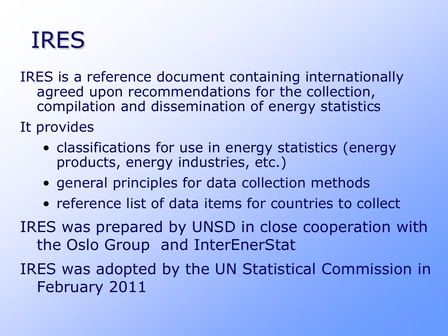#### IRES

IRES is a reference document containing internationally agreed upon recommendations for the collection, compilation and dissemination of energy statistics

It provides

- classifications for use in energy statistics (energy products, energy industries, etc.)
- general principles for data collection methods
- reference list of data items for countries to collect
- IRES was prepared by UNSD in close cooperation with the Oslo Group and InterEnerStat

IRES was adopted by the UN Statistical Commission in February 2011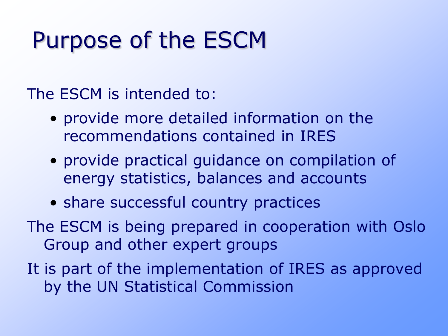## Purpose of the ESCM

The ESCM is intended to:

- provide more detailed information on the recommendations contained in IRES
- provide practical guidance on compilation of energy statistics, balances and accounts
- share successful country practices
- The ESCM is being prepared in cooperation with Oslo Group and other expert groups
- It is part of the implementation of IRES as approved by the UN Statistical Commission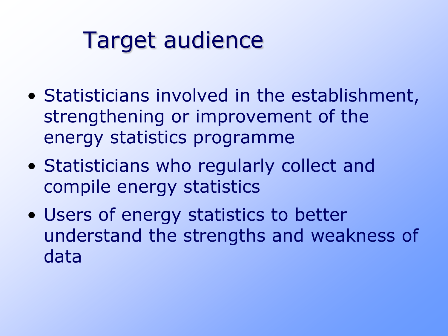## Target audience

- Statisticians involved in the establishment, strengthening or improvement of the energy statistics programme
- Statisticians who regularly collect and compile energy statistics
- Users of energy statistics to better understand the strengths and weakness of data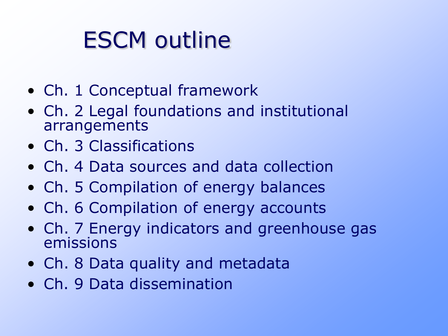# ESCM outline

- Ch. 1 Conceptual framework
- Ch. 2 Legal foundations and institutional arrangements
- Ch. 3 Classifications
- Ch. 4 Data sources and data collection
- Ch. 5 Compilation of energy balances
- Ch. 6 Compilation of energy accounts
- Ch. 7 Energy indicators and greenhouse gas emissions
- Ch. 8 Data quality and metadata
- Ch. 9 Data dissemination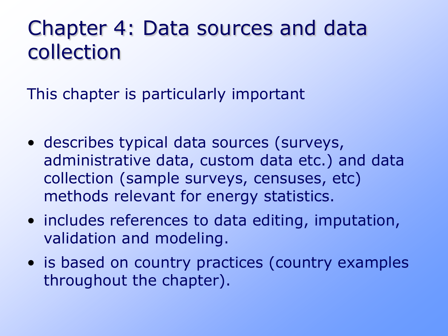#### Chapter 4: Data sources and data collection

This chapter is particularly important

- describes typical data sources (surveys, administrative data, custom data etc.) and data collection (sample surveys, censuses, etc) methods relevant for energy statistics.
- includes references to data editing, imputation, validation and modeling.
- is based on country practices (country examples throughout the chapter).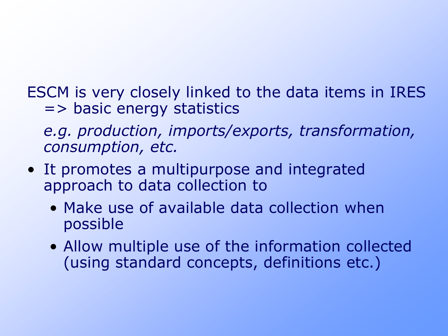ESCM is very closely linked to the data items in IRES => basic energy statistics

*e.g. production, imports/exports, transformation, consumption, etc.*

- It promotes a multipurpose and integrated approach to data collection to
	- Make use of available data collection when possible
	- Allow multiple use of the information collected (using standard concepts, definitions etc.)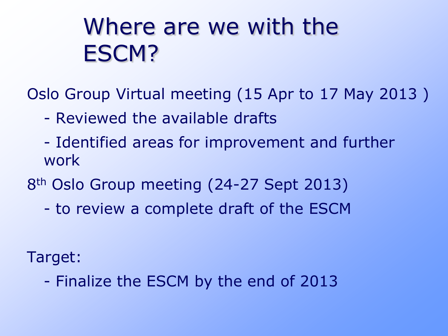## Where are we with the ESCM?

Oslo Group Virtual meeting (15 Apr to 17 May 2013 )

- Reviewed the available drafts
- Identified areas for improvement and further work

8th Oslo Group meeting (24-27 Sept 2013)

- to review a complete draft of the ESCM

Target:

- Finalize the ESCM by the end of 2013